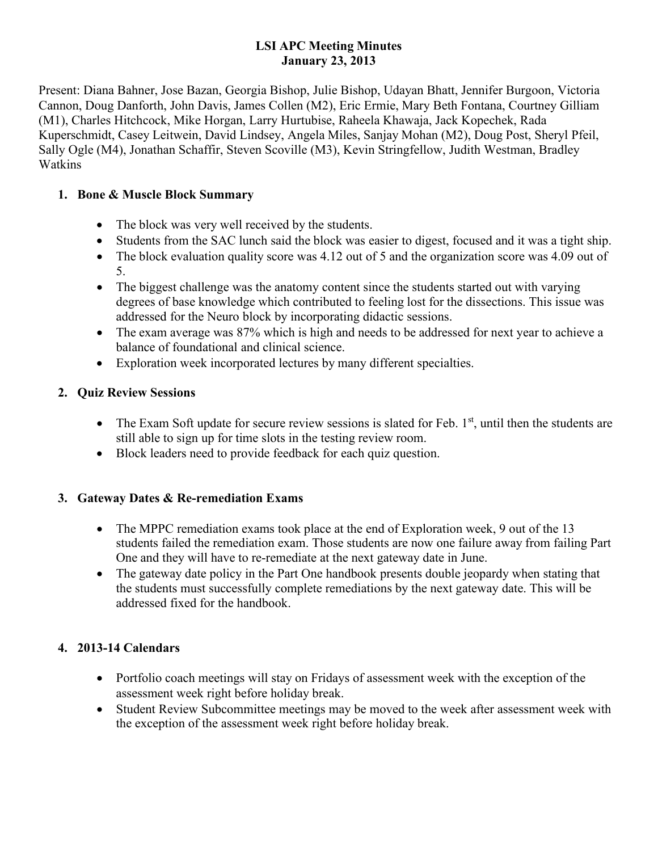### **LSI APC Meeting Minutes January 23, 2013**

Present: Diana Bahner, Jose Bazan, Georgia Bishop, Julie Bishop, Udayan Bhatt, Jennifer Burgoon, Victoria Cannon, Doug Danforth, John Davis, James Collen (M2), Eric Ermie, Mary Beth Fontana, Courtney Gilliam (M1), Charles Hitchcock, Mike Horgan, Larry Hurtubise, Raheela Khawaja, Jack Kopechek, Rada Kuperschmidt, Casey Leitwein, David Lindsey, Angela Miles, Sanjay Mohan (M2), Doug Post, Sheryl Pfeil, Sally Ogle (M4), Jonathan Schaffir, Steven Scoville (M3), Kevin Stringfellow, Judith Westman, Bradley Watkins

## **1. Bone & Muscle Block Summary**

- The block was very well received by the students.
- Students from the SAC lunch said the block was easier to digest, focused and it was a tight ship.
- The block evaluation quality score was 4.12 out of 5 and the organization score was 4.09 out of 5.
- The biggest challenge was the anatomy content since the students started out with varying degrees of base knowledge which contributed to feeling lost for the dissections. This issue was addressed for the Neuro block by incorporating didactic sessions.
- The exam average was 87% which is high and needs to be addressed for next year to achieve a balance of foundational and clinical science.
- Exploration week incorporated lectures by many different specialties.

## **2. Quiz Review Sessions**

- The Exam Soft update for secure review sessions is slated for Feb.  $1<sup>st</sup>$ , until then the students are still able to sign up for time slots in the testing review room.
- Block leaders need to provide feedback for each quiz question.

## **3. Gateway Dates & Re-remediation Exams**

- The MPPC remediation exams took place at the end of Exploration week, 9 out of the 13 students failed the remediation exam. Those students are now one failure away from failing Part One and they will have to re-remediate at the next gateway date in June.
- The gateway date policy in the Part One handbook presents double jeopardy when stating that the students must successfully complete remediations by the next gateway date. This will be addressed fixed for the handbook.

# **4. 2013-14 Calendars**

- Portfolio coach meetings will stay on Fridays of assessment week with the exception of the assessment week right before holiday break.
- Student Review Subcommittee meetings may be moved to the week after assessment week with the exception of the assessment week right before holiday break.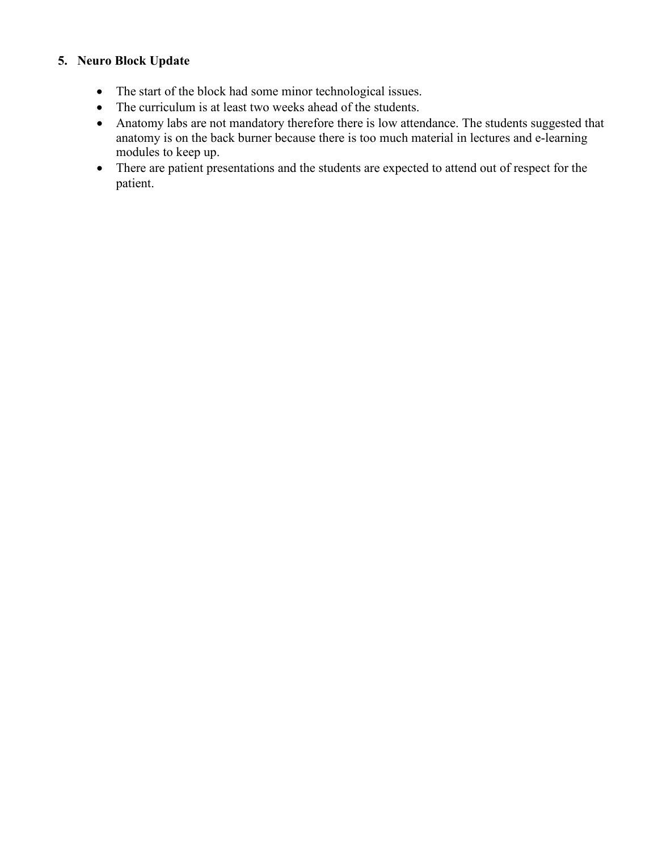#### **5. Neuro Block Update**

- The start of the block had some minor technological issues.
- The curriculum is at least two weeks ahead of the students.
- Anatomy labs are not mandatory therefore there is low attendance. The students suggested that anatomy is on the back burner because there is too much material in lectures and e-learning modules to keep up.
- There are patient presentations and the students are expected to attend out of respect for the patient.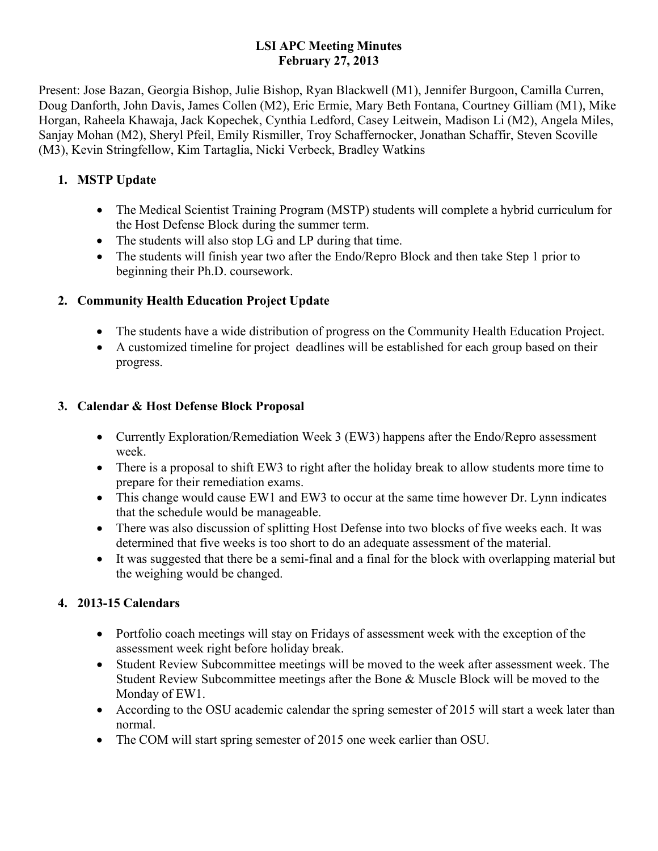### **LSI APC Meeting Minutes February 27, 2013**

Present: Jose Bazan, Georgia Bishop, Julie Bishop, Ryan Blackwell (M1), Jennifer Burgoon, Camilla Curren, Doug Danforth, John Davis, James Collen (M2), Eric Ermie, Mary Beth Fontana, Courtney Gilliam (M1), Mike Horgan, Raheela Khawaja, Jack Kopechek, Cynthia Ledford, Casey Leitwein, Madison Li (M2), Angela Miles, Sanjay Mohan (M2), Sheryl Pfeil, Emily Rismiller, Troy Schaffernocker, Jonathan Schaffir, Steven Scoville (M3), Kevin Stringfellow, Kim Tartaglia, Nicki Verbeck, Bradley Watkins

# **1. MSTP Update**

- The Medical Scientist Training Program (MSTP) students will complete a hybrid curriculum for the Host Defense Block during the summer term.
- The students will also stop LG and LP during that time.
- The students will finish year two after the Endo/Repro Block and then take Step 1 prior to beginning their Ph.D. coursework.

# **2. Community Health Education Project Update**

- The students have a wide distribution of progress on the Community Health Education Project.
- A customized timeline for project deadlines will be established for each group based on their progress.

## **3. Calendar & Host Defense Block Proposal**

- Currently Exploration/Remediation Week 3 (EW3) happens after the Endo/Repro assessment week.
- There is a proposal to shift EW3 to right after the holiday break to allow students more time to prepare for their remediation exams.
- This change would cause EW1 and EW3 to occur at the same time however Dr. Lynn indicates that the schedule would be manageable.
- There was also discussion of splitting Host Defense into two blocks of five weeks each. It was determined that five weeks is too short to do an adequate assessment of the material.
- It was suggested that there be a semi-final and a final for the block with overlapping material but the weighing would be changed.

# **4. 2013-15 Calendars**

- Portfolio coach meetings will stay on Fridays of assessment week with the exception of the assessment week right before holiday break.
- Student Review Subcommittee meetings will be moved to the week after assessment week. The Student Review Subcommittee meetings after the Bone & Muscle Block will be moved to the Monday of EW1.
- According to the OSU academic calendar the spring semester of 2015 will start a week later than normal.
- The COM will start spring semester of 2015 one week earlier than OSU.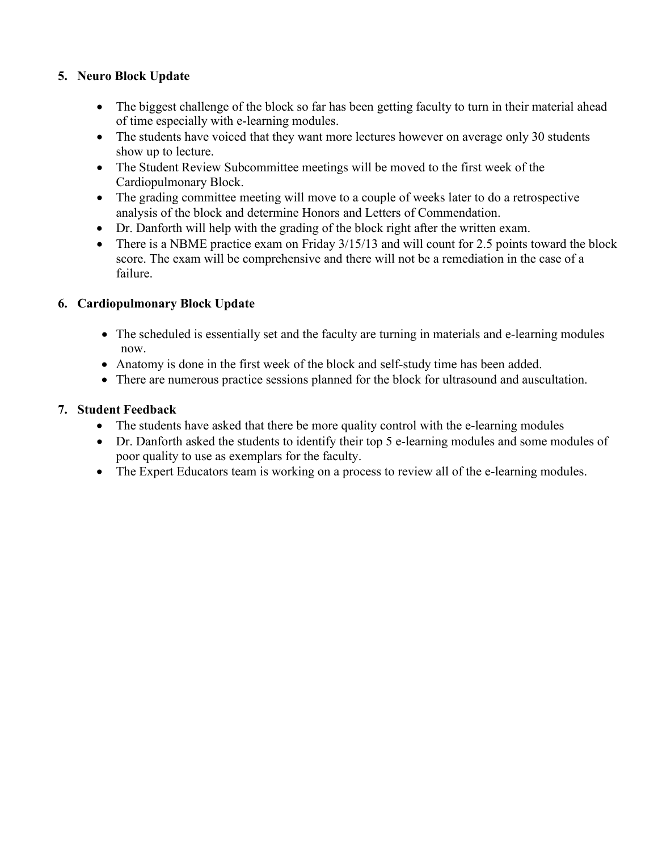## **5. Neuro Block Update**

- The biggest challenge of the block so far has been getting faculty to turn in their material ahead of time especially with e-learning modules.
- The students have voiced that they want more lectures however on average only 30 students show up to lecture.
- The Student Review Subcommittee meetings will be moved to the first week of the Cardiopulmonary Block.
- The grading committee meeting will move to a couple of weeks later to do a retrospective analysis of the block and determine Honors and Letters of Commendation.
- Dr. Danforth will help with the grading of the block right after the written exam.
- There is a NBME practice exam on Friday 3/15/13 and will count for 2.5 points toward the block score. The exam will be comprehensive and there will not be a remediation in the case of a failure.

## **6. Cardiopulmonary Block Update**

- The scheduled is essentially set and the faculty are turning in materials and e-learning modules now.
- Anatomy is done in the first week of the block and self-study time has been added.
- There are numerous practice sessions planned for the block for ultrasound and auscultation.

## **7. Student Feedback**

- The students have asked that there be more quality control with the e-learning modules
- Dr. Danforth asked the students to identify their top 5 e-learning modules and some modules of poor quality to use as exemplars for the faculty.
- The Expert Educators team is working on a process to review all of the e-learning modules.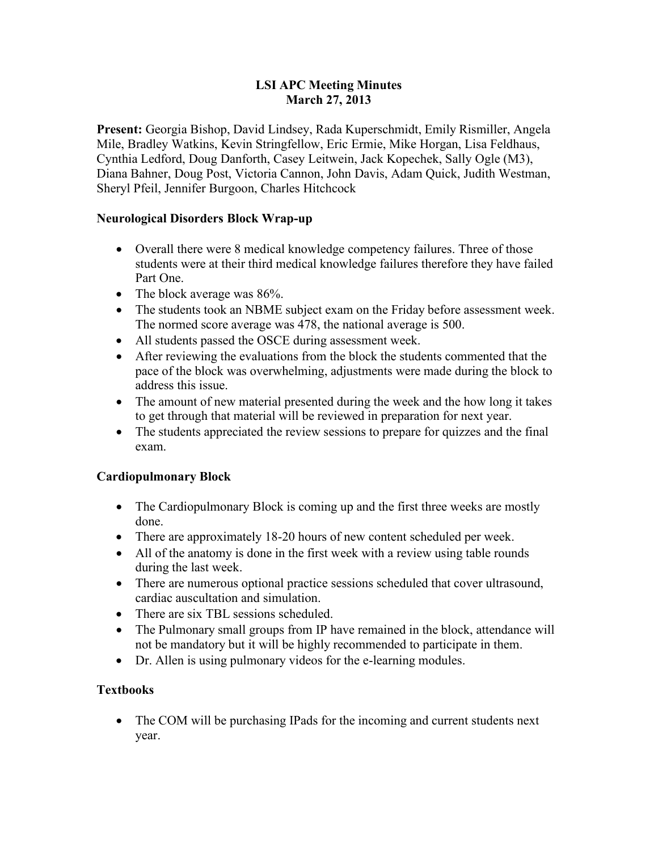#### **LSI APC Meeting Minutes March 27, 2013**

**Present:** Georgia Bishop, David Lindsey, Rada Kuperschmidt, Emily Rismiller, Angela Mile, Bradley Watkins, Kevin Stringfellow, Eric Ermie, Mike Horgan, Lisa Feldhaus, Cynthia Ledford, Doug Danforth, Casey Leitwein, Jack Kopechek, Sally Ogle (M3), Diana Bahner, Doug Post, Victoria Cannon, John Davis, Adam Quick, Judith Westman, Sheryl Pfeil, Jennifer Burgoon, Charles Hitchcock

#### **Neurological Disorders Block Wrap-up**

- Overall there were 8 medical knowledge competency failures. Three of those students were at their third medical knowledge failures therefore they have failed Part One.
- The block average was 86%.
- The students took an NBME subject exam on the Friday before assessment week. The normed score average was 478, the national average is 500.
- All students passed the OSCE during assessment week.
- After reviewing the evaluations from the block the students commented that the pace of the block was overwhelming, adjustments were made during the block to address this issue.
- The amount of new material presented during the week and the how long it takes to get through that material will be reviewed in preparation for next year.
- The students appreciated the review sessions to prepare for quizzes and the final exam.

#### **Cardiopulmonary Block**

- The Cardiopulmonary Block is coming up and the first three weeks are mostly done.
- There are approximately 18-20 hours of new content scheduled per week.
- All of the anatomy is done in the first week with a review using table rounds during the last week.
- There are numerous optional practice sessions scheduled that cover ultrasound, cardiac auscultation and simulation.
- There are six TBL sessions scheduled.
- The Pulmonary small groups from IP have remained in the block, attendance will not be mandatory but it will be highly recommended to participate in them.
- Dr. Allen is using pulmonary videos for the e-learning modules.

#### **Textbooks**

• The COM will be purchasing IPads for the incoming and current students next year.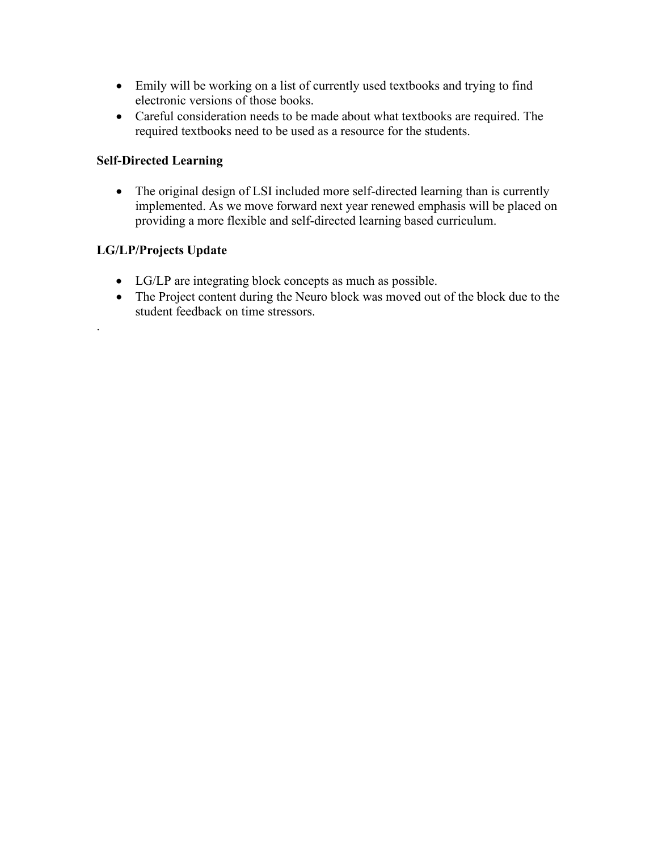- Emily will be working on a list of currently used textbooks and trying to find electronic versions of those books.
- Careful consideration needs to be made about what textbooks are required. The required textbooks need to be used as a resource for the students.

## **Self-Directed Learning**

• The original design of LSI included more self-directed learning than is currently implemented. As we move forward next year renewed emphasis will be placed on providing a more flexible and self-directed learning based curriculum.

## **LG/LP/Projects Update**

.

- LG/LP are integrating block concepts as much as possible.
- The Project content during the Neuro block was moved out of the block due to the student feedback on time stressors.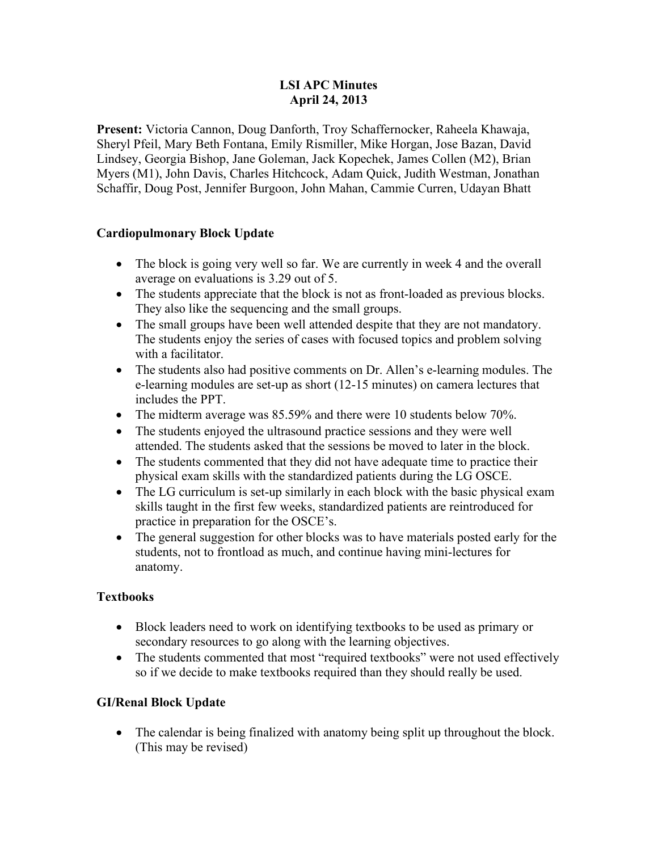#### **LSI APC Minutes April 24, 2013**

**Present:** Victoria Cannon, Doug Danforth, Troy Schaffernocker, Raheela Khawaja, Sheryl Pfeil, Mary Beth Fontana, Emily Rismiller, Mike Horgan, Jose Bazan, David Lindsey, Georgia Bishop, Jane Goleman, Jack Kopechek, James Collen (M2), Brian Myers (M1), John Davis, Charles Hitchcock, Adam Quick, Judith Westman, Jonathan Schaffir, Doug Post, Jennifer Burgoon, John Mahan, Cammie Curren, Udayan Bhatt

#### **Cardiopulmonary Block Update**

- The block is going very well so far. We are currently in week 4 and the overall average on evaluations is 3.29 out of 5.
- The students appreciate that the block is not as front-loaded as previous blocks. They also like the sequencing and the small groups.
- The small groups have been well attended despite that they are not mandatory. The students enjoy the series of cases with focused topics and problem solving with a facilitator.
- The students also had positive comments on Dr. Allen's e-learning modules. The e-learning modules are set-up as short (12-15 minutes) on camera lectures that includes the PPT.
- The midterm average was 85.59% and there were 10 students below 70%.
- The students enjoyed the ultrasound practice sessions and they were well attended. The students asked that the sessions be moved to later in the block.
- The students commented that they did not have adequate time to practice their physical exam skills with the standardized patients during the LG OSCE.
- The LG curriculum is set-up similarly in each block with the basic physical exam skills taught in the first few weeks, standardized patients are reintroduced for practice in preparation for the OSCE's.
- The general suggestion for other blocks was to have materials posted early for the students, not to frontload as much, and continue having mini-lectures for anatomy.

#### **Textbooks**

- Block leaders need to work on identifying textbooks to be used as primary or secondary resources to go along with the learning objectives.
- The students commented that most "required textbooks" were not used effectively so if we decide to make textbooks required than they should really be used.

#### **GI/Renal Block Update**

• The calendar is being finalized with anatomy being split up throughout the block. (This may be revised)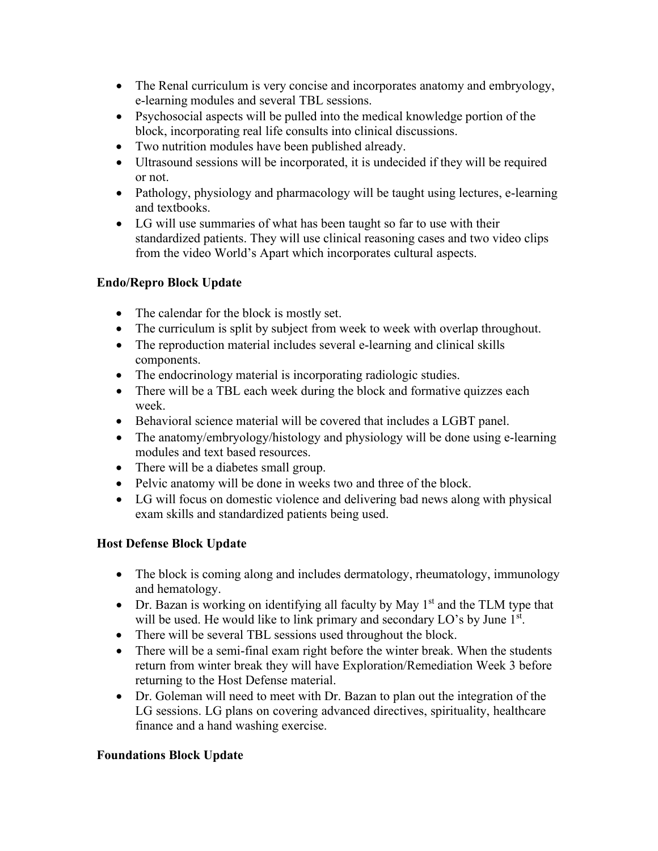- The Renal curriculum is very concise and incorporates anatomy and embryology, e-learning modules and several TBL sessions.
- Psychosocial aspects will be pulled into the medical knowledge portion of the block, incorporating real life consults into clinical discussions.
- Two nutrition modules have been published already.
- Ultrasound sessions will be incorporated, it is undecided if they will be required or not.
- Pathology, physiology and pharmacology will be taught using lectures, e-learning and textbooks.
- LG will use summaries of what has been taught so far to use with their standardized patients. They will use clinical reasoning cases and two video clips from the video World's Apart which incorporates cultural aspects.

## **Endo/Repro Block Update**

- The calendar for the block is mostly set.
- The curriculum is split by subject from week to week with overlap throughout.
- The reproduction material includes several e-learning and clinical skills components.
- The endocrinology material is incorporating radiologic studies.
- There will be a TBL each week during the block and formative quizzes each week.
- Behavioral science material will be covered that includes a LGBT panel.
- The anatomy/embryology/histology and physiology will be done using e-learning modules and text based resources.
- There will be a diabetes small group.
- Pelvic anatomy will be done in weeks two and three of the block.
- LG will focus on domestic violence and delivering bad news along with physical exam skills and standardized patients being used.

## **Host Defense Block Update**

- The block is coming along and includes dermatology, rheumatology, immunology and hematology.
- Dr. Bazan is working on identifying all faculty by May  $1<sup>st</sup>$  and the TLM type that will be used. He would like to link primary and secondary LO's by June 1<sup>st</sup>.
- There will be several TBL sessions used throughout the block.
- There will be a semi-final exam right before the winter break. When the students return from winter break they will have Exploration/Remediation Week 3 before returning to the Host Defense material.
- Dr. Goleman will need to meet with Dr. Bazan to plan out the integration of the LG sessions. LG plans on covering advanced directives, spirituality, healthcare finance and a hand washing exercise.

## **Foundations Block Update**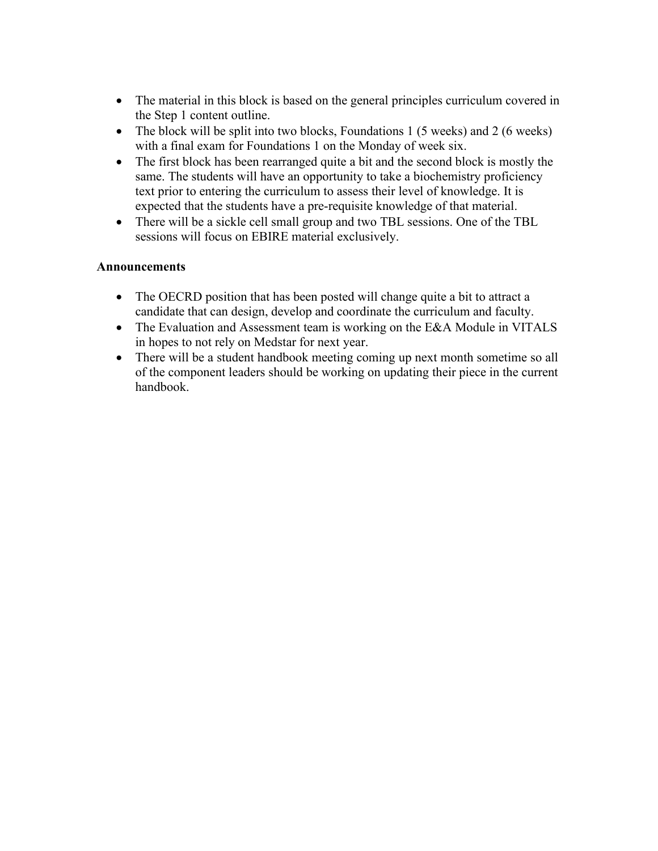- The material in this block is based on the general principles curriculum covered in the Step 1 content outline.
- The block will be split into two blocks, Foundations 1 (5 weeks) and 2 (6 weeks) with a final exam for Foundations 1 on the Monday of week six.
- The first block has been rearranged quite a bit and the second block is mostly the same. The students will have an opportunity to take a biochemistry proficiency text prior to entering the curriculum to assess their level of knowledge. It is expected that the students have a pre-requisite knowledge of that material.
- There will be a sickle cell small group and two TBL sessions. One of the TBL sessions will focus on EBIRE material exclusively.

## **Announcements**

- The OECRD position that has been posted will change quite a bit to attract a candidate that can design, develop and coordinate the curriculum and faculty.
- The Evaluation and Assessment team is working on the E&A Module in VITALS in hopes to not rely on Medstar for next year.
- There will be a student handbook meeting coming up next month sometime so all of the component leaders should be working on updating their piece in the current handbook.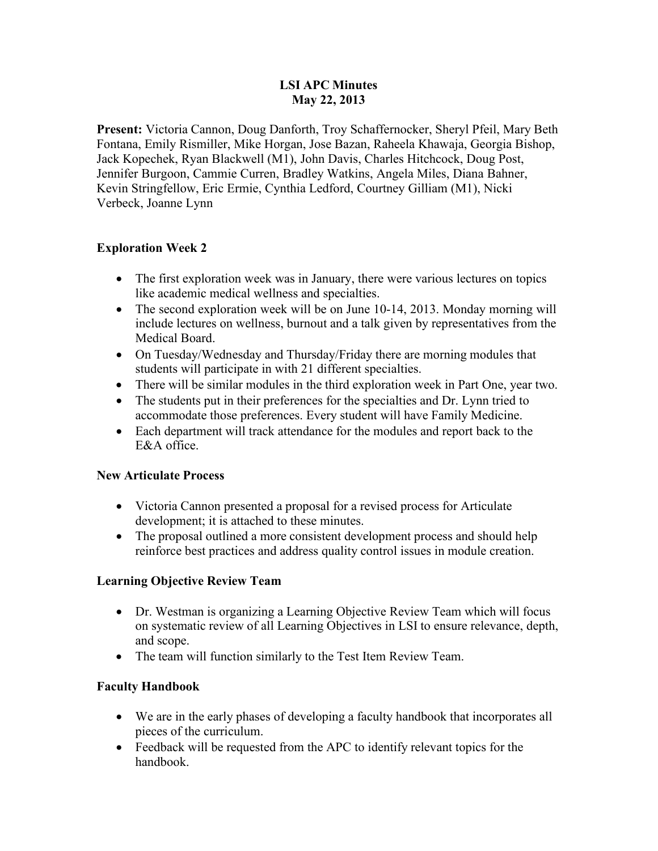#### **LSI APC Minutes May 22, 2013**

**Present:** Victoria Cannon, Doug Danforth, Troy Schaffernocker, Sheryl Pfeil, Mary Beth Fontana, Emily Rismiller, Mike Horgan, Jose Bazan, Raheela Khawaja, Georgia Bishop, Jack Kopechek, Ryan Blackwell (M1), John Davis, Charles Hitchcock, Doug Post, Jennifer Burgoon, Cammie Curren, Bradley Watkins, Angela Miles, Diana Bahner, Kevin Stringfellow, Eric Ermie, Cynthia Ledford, Courtney Gilliam (M1), Nicki Verbeck, Joanne Lynn

## **Exploration Week 2**

- The first exploration week was in January, there were various lectures on topics like academic medical wellness and specialties.
- The second exploration week will be on June 10-14, 2013. Monday morning will include lectures on wellness, burnout and a talk given by representatives from the Medical Board.
- On Tuesday/Wednesday and Thursday/Friday there are morning modules that students will participate in with 21 different specialties.
- There will be similar modules in the third exploration week in Part One, year two.
- The students put in their preferences for the specialties and Dr. Lynn tried to accommodate those preferences. Every student will have Family Medicine.
- Each department will track attendance for the modules and report back to the E&A office.

#### **New Articulate Process**

- Victoria Cannon presented a proposal for a revised process for Articulate development; it is attached to these minutes.
- The proposal outlined a more consistent development process and should help reinforce best practices and address quality control issues in module creation.

#### **Learning Objective Review Team**

- Dr. Westman is organizing a Learning Objective Review Team which will focus on systematic review of all Learning Objectives in LSI to ensure relevance, depth, and scope.
- The team will function similarly to the Test Item Review Team.

#### **Faculty Handbook**

- We are in the early phases of developing a faculty handbook that incorporates all pieces of the curriculum.
- Feedback will be requested from the APC to identify relevant topics for the handbook.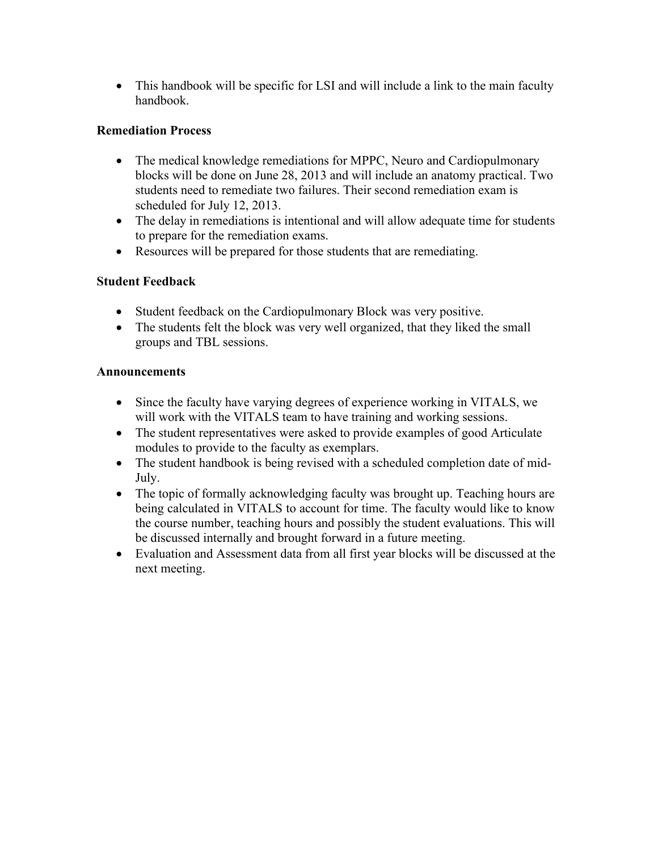• This handbook will be specific for LSI and will include a link to the main faculty handbook.

## **Remediation Process**

- The medical knowledge remediations for MPPC, Neuro and Cardiopulmonary blocks will be done on June 28, 2013 and will include an anatomy practical. Two students need to remediate two failures. Their second remediation exam is scheduled for July 12, 2013.
- The delay in remediations is intentional and will allow adequate time for students to prepare for the remediation exams.
- Resources will be prepared for those students that are remediating.

## **Student Feedback**

- Student feedback on the Cardiopulmonary Block was very positive.
- The students felt the block was very well organized, that they liked the small groups and TBL sessions.

## **Announcements**

- Since the faculty have varying degrees of experience working in VITALS, we will work with the VITALS team to have training and working sessions.
- The student representatives were asked to provide examples of good Articulate modules to provide to the faculty as exemplars.
- The student handbook is being revised with a scheduled completion date of mid-July.
- The topic of formally acknowledging faculty was brought up. Teaching hours are being calculated in VITALS to account for time. The faculty would like to know the course number, teaching hours and possibly the student evaluations. This will be discussed internally and brought forward in a future meeting.
- Evaluation and Assessment data from all first year blocks will be discussed at the next meeting.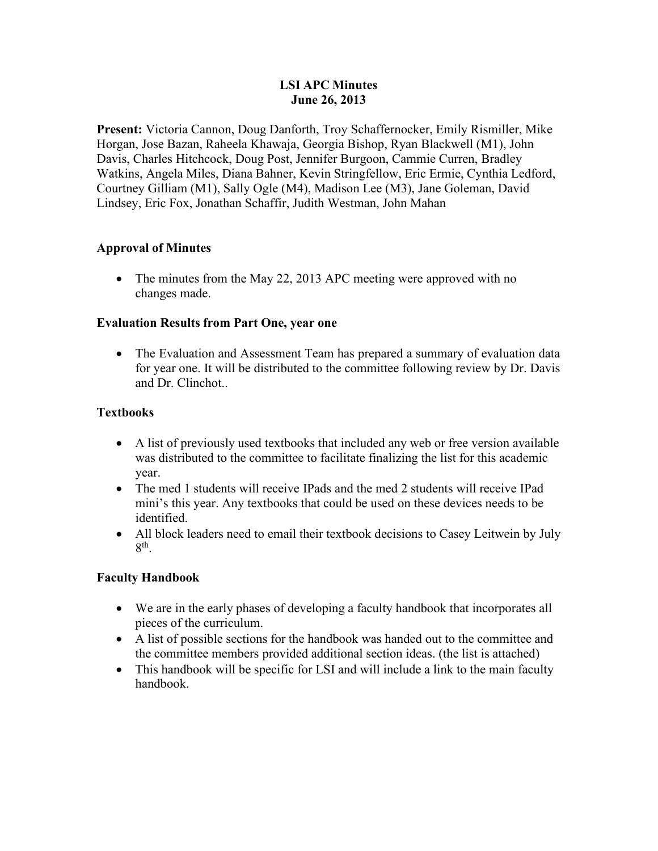#### **LSI APC Minutes June 26, 2013**

**Present:** Victoria Cannon, Doug Danforth, Troy Schaffernocker, Emily Rismiller, Mike Horgan, Jose Bazan, Raheela Khawaja, Georgia Bishop, Ryan Blackwell (M1), John Davis, Charles Hitchcock, Doug Post, Jennifer Burgoon, Cammie Curren, Bradley Watkins, Angela Miles, Diana Bahner, Kevin Stringfellow, Eric Ermie, Cynthia Ledford, Courtney Gilliam (M1), Sally Ogle (M4), Madison Lee (M3), Jane Goleman, David Lindsey, Eric Fox, Jonathan Schaffir, Judith Westman, John Mahan

#### **Approval of Minutes**

• The minutes from the May 22, 2013 APC meeting were approved with no changes made.

#### **Evaluation Results from Part One, year one**

• The Evaluation and Assessment Team has prepared a summary of evaluation data for year one. It will be distributed to the committee following review by Dr. Davis and Dr. Clinchot..

#### **Textbooks**

- A list of previously used textbooks that included any web or free version available was distributed to the committee to facilitate finalizing the list for this academic year.
- The med 1 students will receive IPads and the med 2 students will receive IPad mini's this year. Any textbooks that could be used on these devices needs to be identified.
- All block leaders need to email their textbook decisions to Casey Leitwein by July 8th.

#### **Faculty Handbook**

- We are in the early phases of developing a faculty handbook that incorporates all pieces of the curriculum.
- A list of possible sections for the handbook was handed out to the committee and the committee members provided additional section ideas. (the list is attached)
- This handbook will be specific for LSI and will include a link to the main faculty handbook.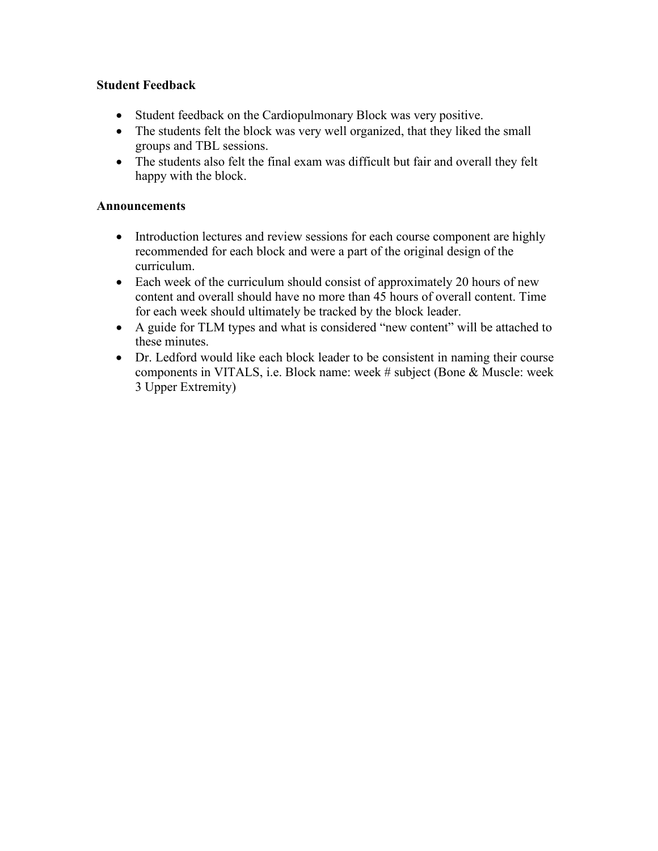#### **Student Feedback**

- Student feedback on the Cardiopulmonary Block was very positive.
- The students felt the block was very well organized, that they liked the small groups and TBL sessions.
- The students also felt the final exam was difficult but fair and overall they felt happy with the block.

#### **Announcements**

- Introduction lectures and review sessions for each course component are highly recommended for each block and were a part of the original design of the curriculum.
- Each week of the curriculum should consist of approximately 20 hours of new content and overall should have no more than 45 hours of overall content. Time for each week should ultimately be tracked by the block leader.
- A guide for TLM types and what is considered "new content" will be attached to these minutes.
- Dr. Ledford would like each block leader to be consistent in naming their course components in VITALS, i.e. Block name: week # subject (Bone & Muscle: week 3 Upper Extremity)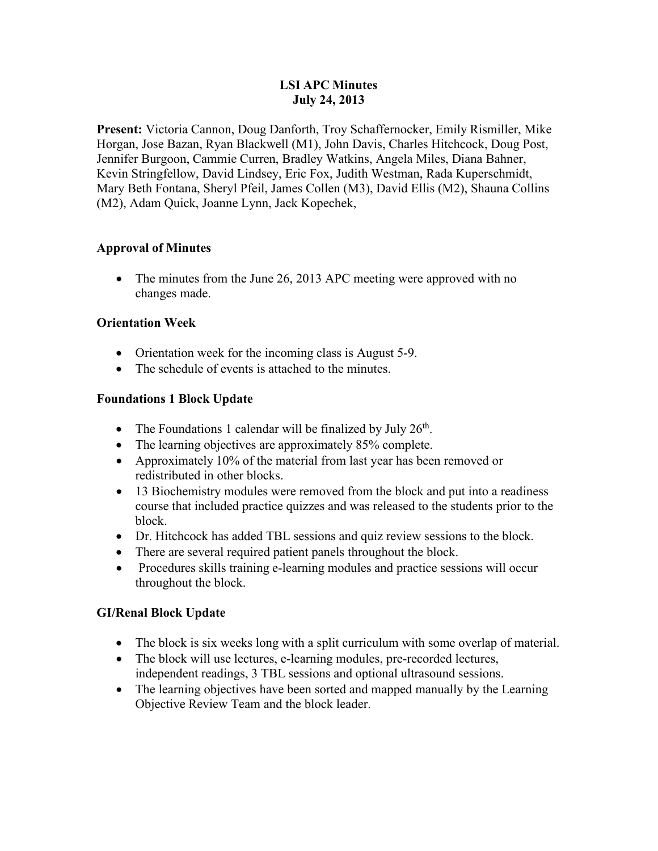#### **LSI APC Minutes July 24, 2013**

**Present:** Victoria Cannon, Doug Danforth, Troy Schaffernocker, Emily Rismiller, Mike Horgan, Jose Bazan, Ryan Blackwell (M1), John Davis, Charles Hitchcock, Doug Post, Jennifer Burgoon, Cammie Curren, Bradley Watkins, Angela Miles, Diana Bahner, Kevin Stringfellow, David Lindsey, Eric Fox, Judith Westman, Rada Kuperschmidt, Mary Beth Fontana, Sheryl Pfeil, James Collen (M3), David Ellis (M2), Shauna Collins (M2), Adam Quick, Joanne Lynn, Jack Kopechek,

## **Approval of Minutes**

• The minutes from the June 26, 2013 APC meeting were approved with no changes made.

#### **Orientation Week**

- Orientation week for the incoming class is August 5-9.
- The schedule of events is attached to the minutes.

## **Foundations 1 Block Update**

- The Foundations 1 calendar will be finalized by July  $26<sup>th</sup>$ .
- The learning objectives are approximately 85% complete.
- Approximately 10% of the material from last year has been removed or redistributed in other blocks.
- 13 Biochemistry modules were removed from the block and put into a readiness course that included practice quizzes and was released to the students prior to the block.
- Dr. Hitchcock has added TBL sessions and quiz review sessions to the block.
- There are several required patient panels throughout the block.
- Procedures skills training e-learning modules and practice sessions will occur throughout the block.

## **GI/Renal Block Update**

- The block is six weeks long with a split curriculum with some overlap of material.
- The block will use lectures, e-learning modules, pre-recorded lectures, independent readings, 3 TBL sessions and optional ultrasound sessions.
- The learning objectives have been sorted and mapped manually by the Learning Objective Review Team and the block leader.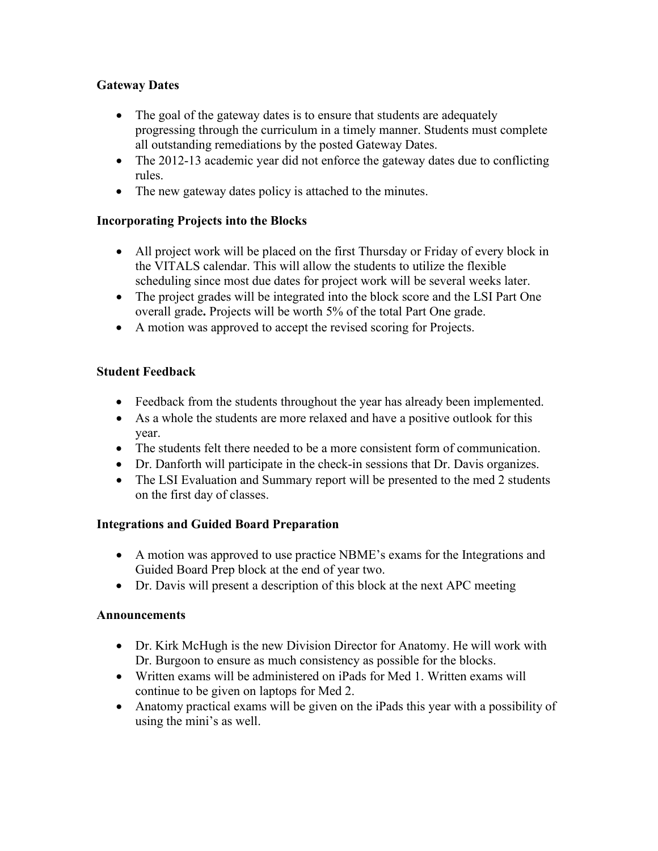## **Gateway Dates**

- The goal of the gateway dates is to ensure that students are adequately progressing through the curriculum in a timely manner. Students must complete all outstanding remediations by the posted Gateway Dates.
- The 2012-13 academic year did not enforce the gateway dates due to conflicting rules.
- The new gateway dates policy is attached to the minutes.

#### **Incorporating Projects into the Blocks**

- All project work will be placed on the first Thursday or Friday of every block in the VITALS calendar. This will allow the students to utilize the flexible scheduling since most due dates for project work will be several weeks later.
- The project grades will be integrated into the block score and the LSI Part One overall grade**.** Projects will be worth 5% of the total Part One grade.
- A motion was approved to accept the revised scoring for Projects.

## **Student Feedback**

- Feedback from the students throughout the year has already been implemented.
- As a whole the students are more relaxed and have a positive outlook for this year.
- The students felt there needed to be a more consistent form of communication.
- Dr. Danforth will participate in the check-in sessions that Dr. Davis organizes.
- The LSI Evaluation and Summary report will be presented to the med 2 students on the first day of classes.

#### **Integrations and Guided Board Preparation**

- A motion was approved to use practice NBME's exams for the Integrations and Guided Board Prep block at the end of year two.
- Dr. Davis will present a description of this block at the next APC meeting

#### **Announcements**

- Dr. Kirk McHugh is the new Division Director for Anatomy. He will work with Dr. Burgoon to ensure as much consistency as possible for the blocks.
- Written exams will be administered on iPads for Med 1. Written exams will continue to be given on laptops for Med 2.
- Anatomy practical exams will be given on the iPads this year with a possibility of using the mini's as well.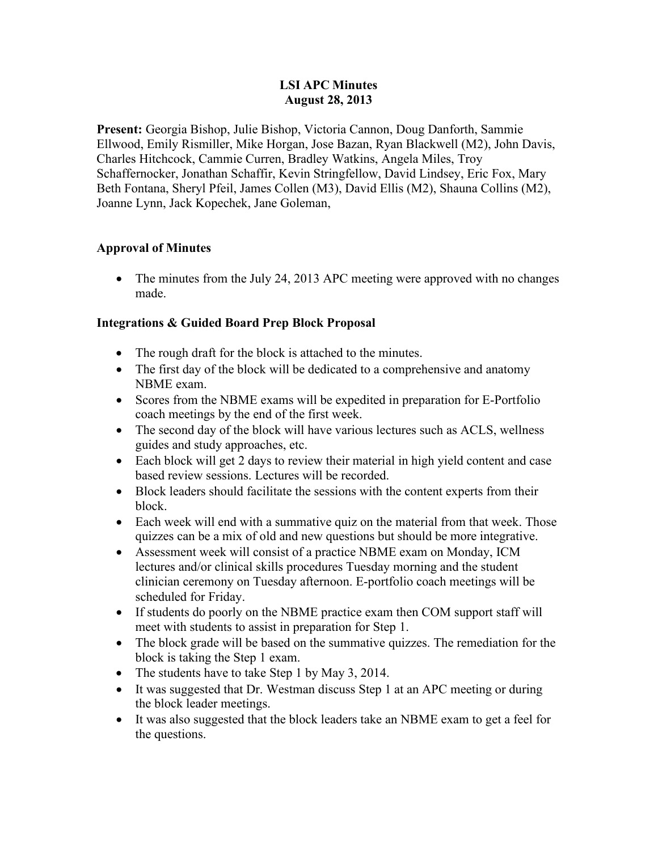#### **LSI APC Minutes August 28, 2013**

**Present:** Georgia Bishop, Julie Bishop, Victoria Cannon, Doug Danforth, Sammie Ellwood, Emily Rismiller, Mike Horgan, Jose Bazan, Ryan Blackwell (M2), John Davis, Charles Hitchcock, Cammie Curren, Bradley Watkins, Angela Miles, Troy Schaffernocker, Jonathan Schaffir, Kevin Stringfellow, David Lindsey, Eric Fox, Mary Beth Fontana, Sheryl Pfeil, James Collen (M3), David Ellis (M2), Shauna Collins (M2), Joanne Lynn, Jack Kopechek, Jane Goleman,

## **Approval of Minutes**

• The minutes from the July 24, 2013 APC meeting were approved with no changes made.

## **Integrations & Guided Board Prep Block Proposal**

- The rough draft for the block is attached to the minutes.
- The first day of the block will be dedicated to a comprehensive and anatomy NBME exam.
- Scores from the NBME exams will be expedited in preparation for E-Portfolio coach meetings by the end of the first week.
- The second day of the block will have various lectures such as ACLS, wellness guides and study approaches, etc.
- Each block will get 2 days to review their material in high yield content and case based review sessions. Lectures will be recorded.
- Block leaders should facilitate the sessions with the content experts from their block.
- Each week will end with a summative quiz on the material from that week. Those quizzes can be a mix of old and new questions but should be more integrative.
- Assessment week will consist of a practice NBME exam on Monday, ICM lectures and/or clinical skills procedures Tuesday morning and the student clinician ceremony on Tuesday afternoon. E-portfolio coach meetings will be scheduled for Friday.
- If students do poorly on the NBME practice exam then COM support staff will meet with students to assist in preparation for Step 1.
- The block grade will be based on the summative quizzes. The remediation for the block is taking the Step 1 exam.
- The students have to take Step 1 by May 3, 2014.
- It was suggested that Dr. Westman discuss Step 1 at an APC meeting or during the block leader meetings.
- It was also suggested that the block leaders take an NBME exam to get a feel for the questions.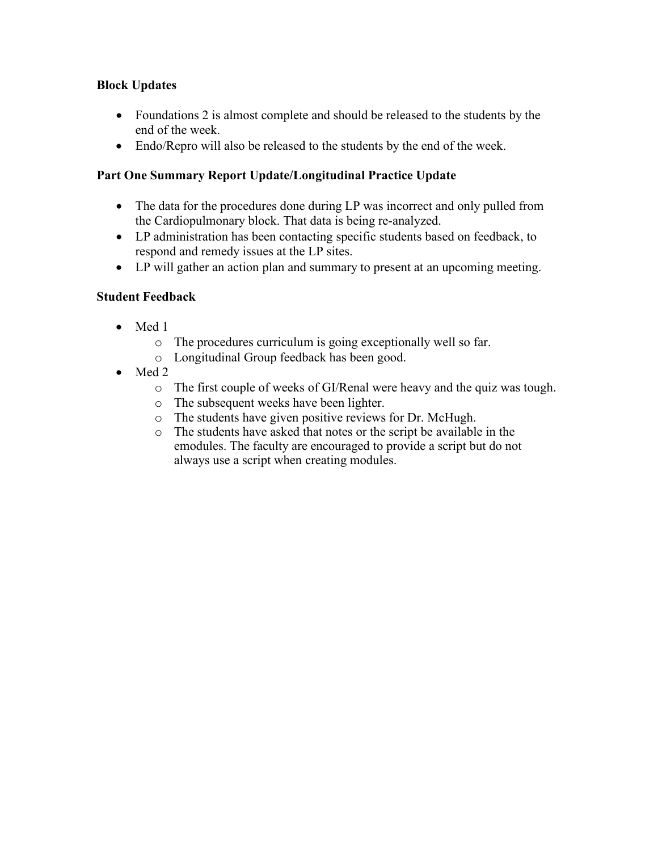## **Block Updates**

- Foundations 2 is almost complete and should be released to the students by the end of the week.
- Endo/Repro will also be released to the students by the end of the week.

## **Part One Summary Report Update/Longitudinal Practice Update**

- The data for the procedures done during LP was incorrect and only pulled from the Cardiopulmonary block. That data is being re-analyzed.
- LP administration has been contacting specific students based on feedback, to respond and remedy issues at the LP sites.
- LP will gather an action plan and summary to present at an upcoming meeting.

#### **Student Feedback**

- Med 1
	- o The procedures curriculum is going exceptionally well so far.
	- o Longitudinal Group feedback has been good.
- Med 2
	- o The first couple of weeks of GI/Renal were heavy and the quiz was tough.
	- o The subsequent weeks have been lighter.
	- o The students have given positive reviews for Dr. McHugh.
	- o The students have asked that notes or the script be available in the emodules. The faculty are encouraged to provide a script but do not always use a script when creating modules.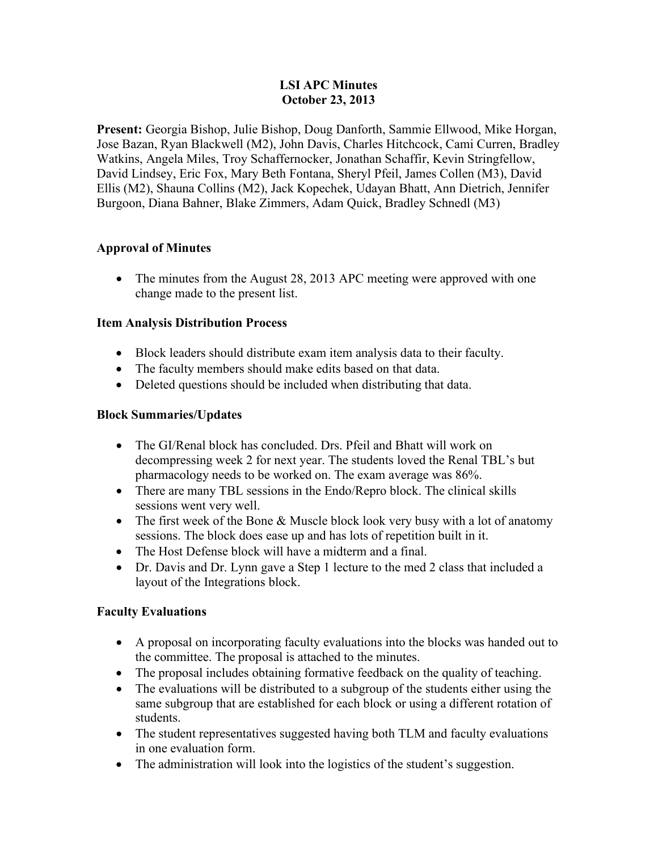#### **LSI APC Minutes October 23, 2013**

**Present:** Georgia Bishop, Julie Bishop, Doug Danforth, Sammie Ellwood, Mike Horgan, Jose Bazan, Ryan Blackwell (M2), John Davis, Charles Hitchcock, Cami Curren, Bradley Watkins, Angela Miles, Troy Schaffernocker, Jonathan Schaffir, Kevin Stringfellow, David Lindsey, Eric Fox, Mary Beth Fontana, Sheryl Pfeil, James Collen (M3), David Ellis (M2), Shauna Collins (M2), Jack Kopechek, Udayan Bhatt, Ann Dietrich, Jennifer Burgoon, Diana Bahner, Blake Zimmers, Adam Quick, Bradley Schnedl (M3)

## **Approval of Minutes**

• The minutes from the August 28, 2013 APC meeting were approved with one change made to the present list.

#### **Item Analysis Distribution Process**

- Block leaders should distribute exam item analysis data to their faculty.
- The faculty members should make edits based on that data.
- Deleted questions should be included when distributing that data.

## **Block Summaries/Updates**

- The GI/Renal block has concluded. Drs. Pfeil and Bhatt will work on decompressing week 2 for next year. The students loved the Renal TBL's but pharmacology needs to be worked on. The exam average was 86%.
- There are many TBL sessions in the Endo/Repro block. The clinical skills sessions went very well.
- The first week of the Bone  $&$  Muscle block look very busy with a lot of anatomy sessions. The block does ease up and has lots of repetition built in it.
- The Host Defense block will have a midterm and a final.
- Dr. Davis and Dr. Lynn gave a Step 1 lecture to the med 2 class that included a layout of the Integrations block.

#### **Faculty Evaluations**

- A proposal on incorporating faculty evaluations into the blocks was handed out to the committee. The proposal is attached to the minutes.
- The proposal includes obtaining formative feedback on the quality of teaching.
- The evaluations will be distributed to a subgroup of the students either using the same subgroup that are established for each block or using a different rotation of students.
- The student representatives suggested having both TLM and faculty evaluations in one evaluation form.
- The administration will look into the logistics of the student's suggestion.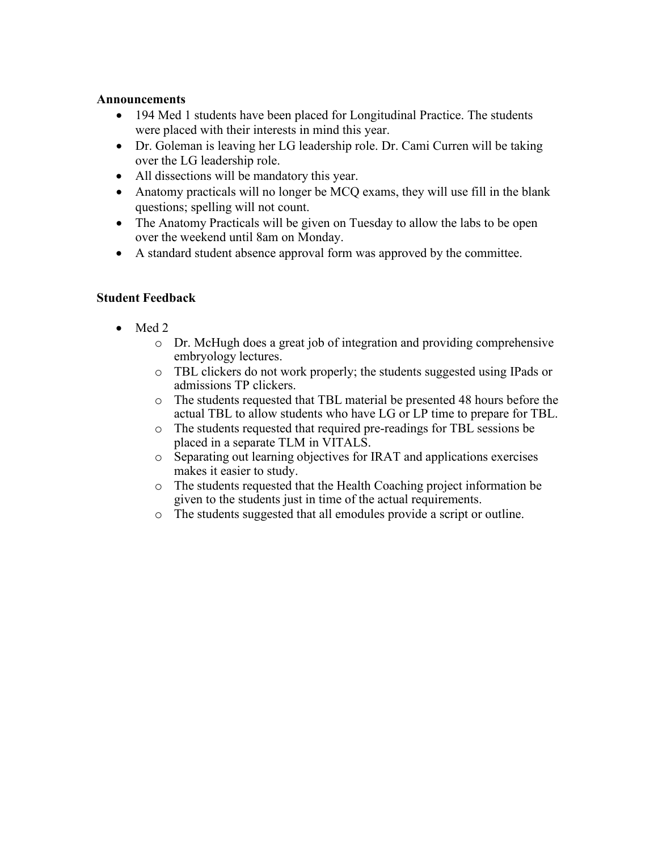#### **Announcements**

- 194 Med 1 students have been placed for Longitudinal Practice. The students were placed with their interests in mind this year.
- Dr. Goleman is leaving her LG leadership role. Dr. Cami Curren will be taking over the LG leadership role.
- All dissections will be mandatory this year.
- Anatomy practicals will no longer be MCQ exams, they will use fill in the blank questions; spelling will not count.
- The Anatomy Practicals will be given on Tuesday to allow the labs to be open over the weekend until 8am on Monday.
- A standard student absence approval form was approved by the committee.

#### **Student Feedback**

- Med 2
	- o Dr. McHugh does a great job of integration and providing comprehensive embryology lectures.
	- o TBL clickers do not work properly; the students suggested using IPads or admissions TP clickers.
	- o The students requested that TBL material be presented 48 hours before the actual TBL to allow students who have LG or LP time to prepare for TBL.
	- o The students requested that required pre-readings for TBL sessions be placed in a separate TLM in VITALS.
	- o Separating out learning objectives for IRAT and applications exercises makes it easier to study.
	- o The students requested that the Health Coaching project information be given to the students just in time of the actual requirements.
	- o The students suggested that all emodules provide a script or outline.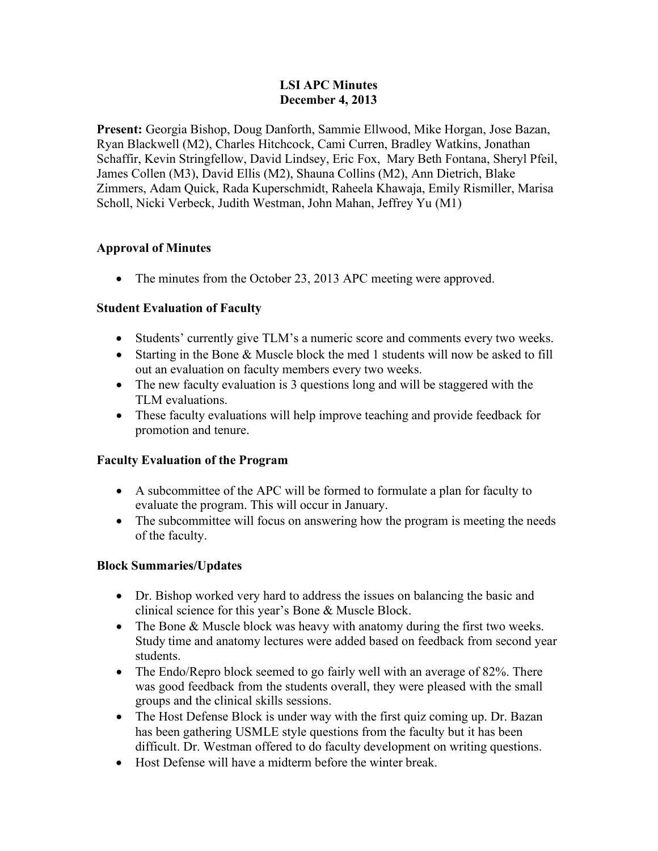#### **LSI APC Minutes December 4, 2013**

**Present:** Georgia Bishop, Doug Danforth, Sammie Ellwood, Mike Horgan, Jose Bazan, Ryan Blackwell (M2), Charles Hitchcock, Cami Curren, Bradley Watkins, Jonathan Schaffir, Kevin Stringfellow, David Lindsey, Eric Fox, Mary Beth Fontana, Sheryl Pfeil, James Collen (M3), David Ellis (M2), Shauna Collins (M2), Ann Dietrich, Blake Zimmers, Adam Quick, Rada Kuperschmidt, Raheela Khawaja, Emily Rismiller, Marisa Scholl, Nicki Verbeck, Judith Westman, John Mahan, Jeffrey Yu (M1)

#### **Approval of Minutes**

• The minutes from the October 23, 2013 APC meeting were approved.

#### **Student Evaluation of Faculty**

- Students' currently give TLM's a numeric score and comments every two weeks.
- Starting in the Bone & Muscle block the med 1 students will now be asked to fill out an evaluation on faculty members every two weeks.
- The new faculty evaluation is 3 questions long and will be staggered with the TLM evaluations.
- These faculty evaluations will help improve teaching and provide feedback for promotion and tenure.

#### **Faculty Evaluation of the Program**

- A subcommittee of the APC will be formed to formulate a plan for faculty to evaluate the program. This will occur in January.
- The subcommittee will focus on answering how the program is meeting the needs of the faculty.

#### **Block Summaries/Updates**

- Dr. Bishop worked very hard to address the issues on balancing the basic and clinical science for this year's Bone & Muscle Block.
- The Bone & Muscle block was heavy with anatomy during the first two weeks. Study time and anatomy lectures were added based on feedback from second year students.
- The Endo/Repro block seemed to go fairly well with an average of 82%. There was good feedback from the students overall, they were pleased with the small groups and the clinical skills sessions.
- The Host Defense Block is under way with the first quiz coming up. Dr. Bazan has been gathering USMLE style questions from the faculty but it has been difficult. Dr. Westman offered to do faculty development on writing questions.
- Host Defense will have a midterm before the winter break.